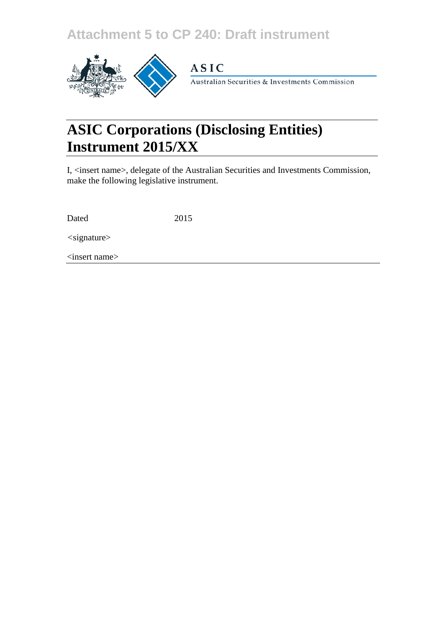## **Attachment 5 to CP 240: Draft instrument**



### **ASIC**

Australian Securities & Investments Commission

# **ASIC Corporations (Disclosing Entities) Instrument 2015/XX**

I, <insert name>, delegate of the Australian Securities and Investments Commission, make the following legislative instrument.

Dated 2015

*<*signature>

<insert name>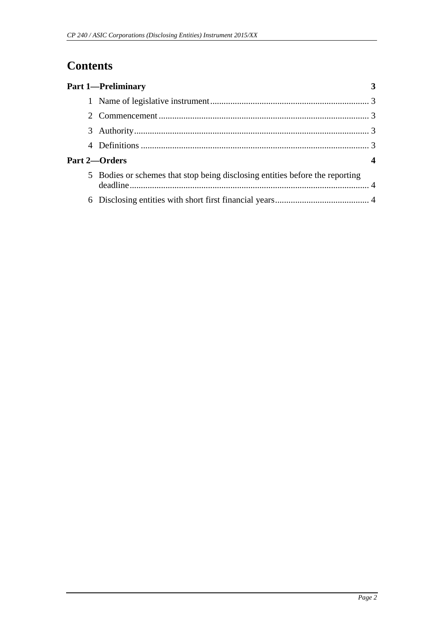## **Contents**

| <b>Part 1-Preliminary</b>                                                    |  |
|------------------------------------------------------------------------------|--|
|                                                                              |  |
|                                                                              |  |
|                                                                              |  |
|                                                                              |  |
| Part 2-Orders                                                                |  |
| 5 Bodies or schemes that stop being disclosing entities before the reporting |  |
|                                                                              |  |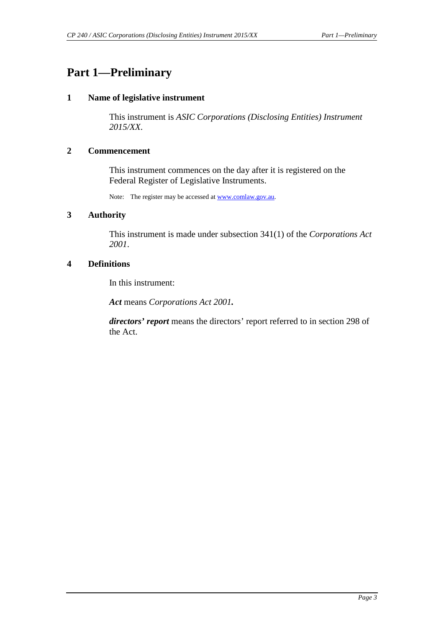### <span id="page-2-1"></span><span id="page-2-0"></span>**Part 1—Preliminary**

#### **1 Name of legislative instrument**

This instrument is *ASIC Corporations (Disclosing Entities) Instrument 2015/XX*.

#### <span id="page-2-2"></span>**2 Commencement**

This instrument commences on the day after it is registered on the Federal Register of Legislative Instruments.

Note: The register may be accessed a[t www.comlaw.gov.au.](http://www.comlaw.gov.au/)

#### <span id="page-2-3"></span>**3 Authority**

This instrument is made under subsection 341(1) of the *Corporations Act 2001*.

#### <span id="page-2-4"></span>**4 Definitions**

In this instrument:

*Act* means *Corporations Act 2001.* 

*directors' report* means the directors' report referred to in section 298 of the Act.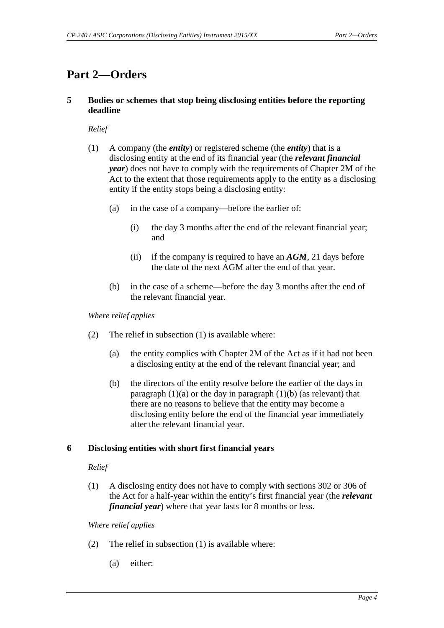### <span id="page-3-1"></span><span id="page-3-0"></span>**Part 2—Orders**

#### **5 Bodies or schemes that stop being disclosing entities before the reporting deadline**

*Relief*

- (1) A company (the *entity*) or registered scheme (the *entity*) that is a disclosing entity at the end of its financial year (the *relevant financial year*) does not have to comply with the requirements of Chapter 2M of the Act to the extent that those requirements apply to the entity as a disclosing entity if the entity stops being a disclosing entity:
	- (a) in the case of a company—before the earlier of:
		- (i) the day 3 months after the end of the relevant financial year; and
		- (ii) if the company is required to have an *AGM*, 21 days before the date of the next AGM after the end of that year.
	- (b) in the case of a scheme—before the day 3 months after the end of the relevant financial year.

*Where relief applies*

- (2) The relief in subsection (1) is available where:
	- (a) the entity complies with Chapter 2M of the Act as if it had not been a disclosing entity at the end of the relevant financial year; and
	- (b) the directors of the entity resolve before the earlier of the days in paragraph  $(1)(a)$  or the day in paragraph  $(1)(b)$  (as relevant) that there are no reasons to believe that the entity may become a disclosing entity before the end of the financial year immediately after the relevant financial year.

#### <span id="page-3-2"></span>**6 Disclosing entities with short first financial years**

#### *Relief*

(1) A disclosing entity does not have to comply with sections 302 or 306 of the Act for a half-year within the entity's first financial year (the *relevant financial year*) where that year lasts for 8 months or less.

*Where relief applies*

- (2) The relief in subsection (1) is available where:
	- (a) either: